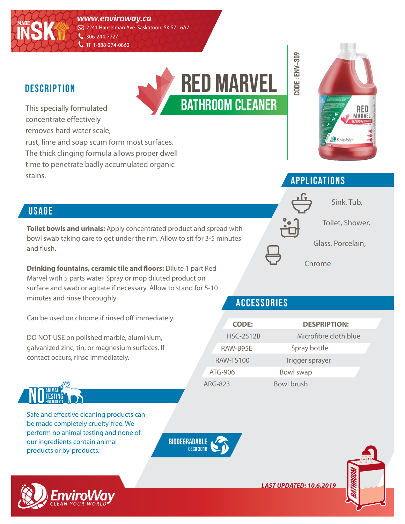*www.enviroway.ca*

2241 Hanselman Ave. Saskatoon, SK S7L 6A7  $\bigcup$  306-244-7727

C TF 1-888-274-0862

#### **DESCRIPTION**

**MADE**

**INSK**

This specially formulated concentrate effectively removes hard water scale,

rust, lime and soap scum form most surfaces. The thick clinging formula allows proper dwell time to penetrate badly accumulated organic stains.

# bathroom cleaner red marvel



## applications

**CODE : env-309**

**CODE: ENV-309** 



#### **USAGE**

**Toilet bowls and urinals:** Apply concentrated product and spread with bowl swab taking care to get under the rim. Allow to sit for 3-5 minutes and flush.

**Drinking fountains, ceramic tile and floors:** Dilute 1 part Red Marvel with 5 parts water. Spray or mop diluted product on surface and swab or agitate if necessary. Allow to stand for 5-10 minutes and rinse thoroughly.

Can be used on chrome if rinsed off immediately.

DO NOT USE on polished marble, aluminium, galvanized zinc, tin, or magnesium surfaces. If contact occurs, rinse immediately.



Safe and effective cleaning products can be made completely cruelty-free. We perform no animal testing and none of our ingredients contain animal products or by-products.





#### accessories

|         | <b>CODE:</b>     | <b>DESPRIPTION:</b>   |  |
|---------|------------------|-----------------------|--|
|         | <b>HSC-2512B</b> | Microfibre cloth blue |  |
|         | RAW-B95E         | Spray bottle          |  |
|         | <b>RAW-TS100</b> | Trigger sprayer       |  |
|         | $ATG-906$        | Bowl swap             |  |
| ARG-823 |                  | <b>Bowl brush</b>     |  |